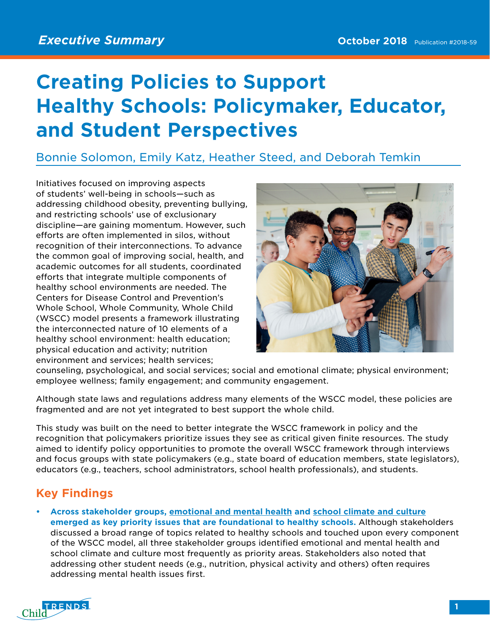## **Creating Policies to Support Healthy Schools: Policymaker, Educator, and Student Perspectives**

Bonnie Solomon, Emily Katz, Heather Steed, and Deborah Temkin

Initiatives focused on improving aspects of students' well-being in schools—such as addressing childhood obesity, preventing bullying, and restricting schools' use of exclusionary discipline—are gaining momentum. However, such efforts are often implemented in silos, without recognition of their interconnections. To advance the common goal of improving social, health, and academic outcomes for all students, coordinated efforts that integrate multiple components of healthy school environments are needed. The Centers for Disease Control and Prevention's Whole School, Whole Community, Whole Child (WSCC) model presents a framework illustrating the interconnected nature of 10 elements of a healthy school environment: health education; physical education and activity; nutrition environment and services; health services;



counseling, psychological, and social services; social and emotional climate; physical environment; employee wellness; family engagement; and community engagement.

Although state laws and regulations address many elements of the WSCC model, these policies are fragmented and are not yet integrated to best support the whole child.

This study was built on the need to better integrate the WSCC framework in policy and the recognition that policymakers prioritize issues they see as critical given finite resources. The study aimed to identify policy opportunities to promote the overall WSCC framework through interviews and focus groups with state policymakers (e.g., state board of education members, state legislators), educators (e.g., teachers, school administrators, school health professionals), and students.

## **Key Findings**

**• Across stakeholder groups, emotional and mental health and school climate and culture emerged as key priority issues that are foundational to healthy schools.** Although stakeholders discussed a broad range of topics related to healthy schools and touched upon every component of the WSCC model, all three stakeholder groups identified emotional and mental health and school climate and culture most frequently as priority areas. Stakeholders also noted that addressing other student needs (e.g., nutrition, physical activity and others) often requires addressing mental health issues first.

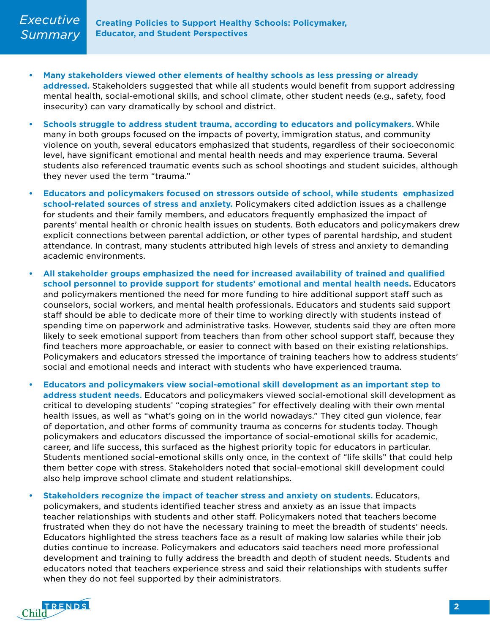- **• Many stakeholders viewed other elements of healthy schools as less pressing or already addressed.** Stakeholders suggested that while all students would benefit from support addressing mental health, social-emotional skills, and school climate, other student needs (e.g., safety, food insecurity) can vary dramatically by school and district.
- **• Schools struggle to address student trauma, according to educators and policymakers.** While many in both groups focused on the impacts of poverty, immigration status, and community violence on youth, several educators emphasized that students, regardless of their socioeconomic level, have significant emotional and mental health needs and may experience trauma. Several students also referenced traumatic events such as school shootings and student suicides, although they never used the term "trauma."
- **• Educators and policymakers focused on stressors outside of school, while students emphasized school-related sources of stress and anxiety.** Policymakers cited addiction issues as a challenge for students and their family members, and educators frequently emphasized the impact of parents' mental health or chronic health issues on students. Both educators and policymakers drew explicit connections between parental addiction, or other types of parental hardship, and student attendance. In contrast, many students attributed high levels of stress and anxiety to demanding academic environments.
- **• All stakeholder groups emphasized the need for increased availability of trained and qualified school personnel to provide support for students' emotional and mental health needs.** Educators and policymakers mentioned the need for more funding to hire additional support staff such as counselors, social workers, and mental health professionals. Educators and students said support staff should be able to dedicate more of their time to working directly with students instead of spending time on paperwork and administrative tasks. However, students said they are often more likely to seek emotional support from teachers than from other school support staff, because they find teachers more approachable, or easier to connect with based on their existing relationships. Policymakers and educators stressed the importance of training teachers how to address students' social and emotional needs and interact with students who have experienced trauma.
- **• Educators and policymakers view social-emotional skill development as an important step to address student needs.** Educators and policymakers viewed social-emotional skill development as critical to developing students' "coping strategies" for effectively dealing with their own mental health issues, as well as "what's going on in the world nowadays." They cited gun violence, fear of deportation, and other forms of community trauma as concerns for students today. Though policymakers and educators discussed the importance of social-emotional skills for academic, career, and life success, this surfaced as the highest priority topic for educators in particular. Students mentioned social-emotional skills only once, in the context of "life skills" that could help them better cope with stress. Stakeholders noted that social-emotional skill development could also help improve school climate and student relationships.
- **• Stakeholders recognize the impact of teacher stress and anxiety on students.** Educators, policymakers, and students identified teacher stress and anxiety as an issue that impacts teacher relationships with students and other staff. Policymakers noted that teachers become frustrated when they do not have the necessary training to meet the breadth of students' needs. Educators highlighted the stress teachers face as a result of making low salaries while their job duties continue to increase. Policymakers and educators said teachers need more professional development and training to fully address the breadth and depth of student needs. Students and educators noted that teachers experience stress and said their relationships with students suffer when they do not feel supported by their administrators.